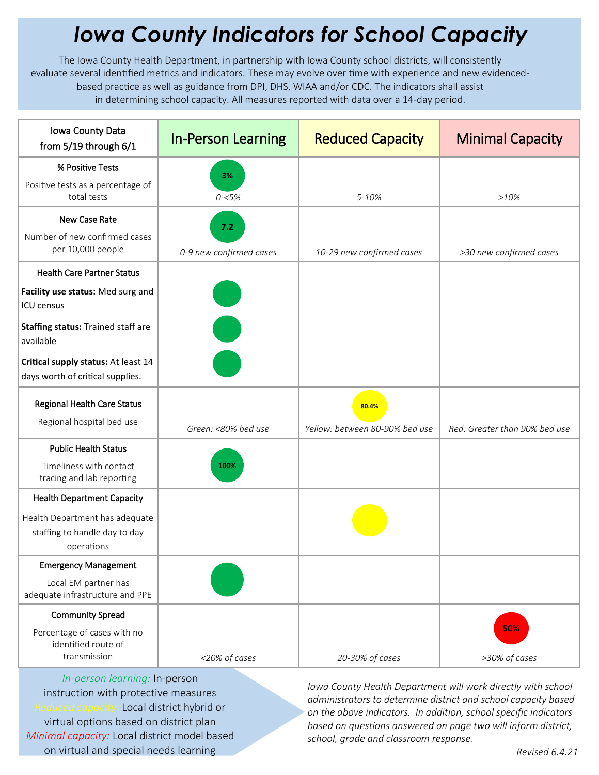## *Iowa County Indicators for School Capacity*

The Iowa County Health Department, in partnership with Iowa County school districts, will consistently evaluate several identified metrics and indicators. These may evolve over time with experience and new evidencedbased practice as well as guidance from DPI, DHS, WIAA and/or CDC. The indicators shall assist in determining school capacity. All measures reported with data over a 14-day period.

| Iowa County Data<br>from 5/19 through 6/1                                     | <b>In-Person Learning</b> | <b>Reduced Capacity</b>        | <b>Minimal Capacity</b>       |
|-------------------------------------------------------------------------------|---------------------------|--------------------------------|-------------------------------|
| % Positive Tests                                                              | 3%                        |                                |                               |
| Positive tests as a percentage of<br>total tests                              | $0 - 5%$                  | 5-10%                          | >10%                          |
| New Case Rate                                                                 | 7.2                       |                                |                               |
| Number of new confirmed cases<br>per 10,000 people                            | 0-9 new confirmed cases   | 10-29 new confirmed cases      | >30 new confirmed cases       |
| <b>Health Care Partner Status</b>                                             |                           |                                |                               |
| Facility use status: Med surg and<br>ICU census                               |                           |                                |                               |
| Staffing status: Trained staff are<br>available                               |                           |                                |                               |
| Critical supply status: At least 14<br>days worth of critical supplies.       |                           |                                |                               |
| <b>Regional Health Care Status</b>                                            |                           | 80.4%                          |                               |
| Regional hospital bed use                                                     | Green: <80% bed use       | Yellow: between 80-90% bed use | Red: Greater than 90% bed use |
| <b>Public Health Status</b>                                                   |                           |                                |                               |
| Timeliness with contact<br>tracing and lab reporting                          | 100%                      |                                |                               |
| <b>Health Department Capacity</b>                                             |                           |                                |                               |
| Health Department has adequate<br>staffing to handle day to day<br>operations |                           |                                |                               |
| <b>Emergency Management</b>                                                   |                           |                                |                               |
| Local EM partner has<br>adequate infrastructure and PPE                       |                           |                                |                               |
| <b>Community Spread</b>                                                       |                           |                                |                               |
| Percentage of cases with no<br>identified route of<br>transmission            | <20% of cases             | 20-30% of cases                | 50%<br>>30% of cases          |

*In-person learning:* In-person instruction with protective measures *Reduced capacity:* Local district hybrid or virtual options based on district plan *Minimal capacity:* Local district model based on virtual and special needs learning

*Iowa County Health Department will work directly with school administrators to determine district and school capacity based on the above indicators. In addition, school specific indicators based on questions answered on page two will inform district, school, grade and classroom response.*